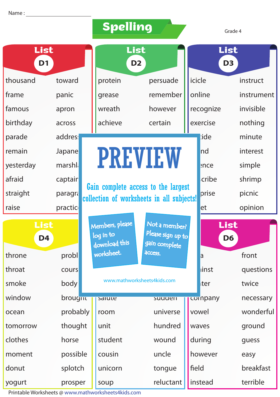|                        |          |  | <b>Spelling</b>                               |                                                                                  |  |                        | Grade 4    |  |  |
|------------------------|----------|--|-----------------------------------------------|----------------------------------------------------------------------------------|--|------------------------|------------|--|--|
| List<br>D <sub>1</sub> |          |  | List<br>D <sub>2</sub>                        |                                                                                  |  | List<br>D <sub>3</sub> |            |  |  |
| thousand               | toward   |  | protein                                       | persuade                                                                         |  | icicle                 | instruct   |  |  |
| frame                  | panic    |  | grease                                        | remember                                                                         |  | online                 | instrument |  |  |
| famous                 | apron    |  | wreath                                        | however                                                                          |  | recognize              | invisible  |  |  |
| birthday               | across   |  | achieve                                       | certain                                                                          |  | exercise               | nothing    |  |  |
| parade                 | addres:  |  |                                               |                                                                                  |  | :ide                   | minute     |  |  |
| remain                 | Japane   |  |                                               |                                                                                  |  | Ind                    | interest   |  |  |
| yesterday              | marshla  |  | <b>PREVIEW</b>                                |                                                                                  |  | ence:                  | simple     |  |  |
| afraid                 | captair  |  |                                               |                                                                                  |  | cribe                  | shrimp     |  |  |
| straight               | paragra  |  |                                               | Gain complete access to the largest<br>collection of worksheets in all subjects! |  | prise                  | picnic     |  |  |
| raise                  | practic  |  |                                               |                                                                                  |  | et                     | opinion    |  |  |
| List<br>D <sub>4</sub> |          |  | Members, please<br>log in to<br>download this | Not a member?<br>Please sign up to<br>gain complete                              |  | List<br>D <sub>6</sub> |            |  |  |
| throne                 | probl    |  | worksheet.                                    | <b>ACCESS.</b>                                                                   |  | a                      | front      |  |  |
| throat                 | cours    |  |                                               |                                                                                  |  | linst                  | questions  |  |  |
| smoke                  | body     |  |                                               | www.mathworksheets4kids.com                                                      |  | ter                    | twice      |  |  |
| window                 | brougnu  |  | salute                                        | suuuen                                                                           |  | cornpany               | necessary  |  |  |
| ocean                  | probably |  | room                                          | universe                                                                         |  | vowel                  | wonderful  |  |  |
| tomorrow               | thought  |  | unit                                          | hundred                                                                          |  | waves                  | ground     |  |  |
| clothes                | horse    |  | student                                       | wound                                                                            |  | during                 | guess      |  |  |
| moment                 | possible |  | cousin                                        | uncle                                                                            |  | however                | easy       |  |  |
| donut                  | splotch  |  | unicorn                                       | tongue                                                                           |  | field                  | breakfast  |  |  |
| yogurt                 | prosper  |  | soup                                          | reluctant                                                                        |  | instead                | terrible   |  |  |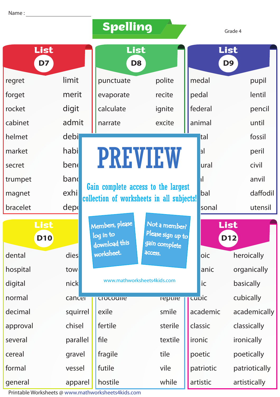|                    |          | Spelling                                      |                                                                                  |                          |              | Grade 4                |
|--------------------|----------|-----------------------------------------------|----------------------------------------------------------------------------------|--------------------------|--------------|------------------------|
| List<br>D7         |          | List<br>D <sub>8</sub>                        |                                                                                  |                          |              | List<br>D <sub>9</sub> |
| regret             | limit    | punctuate                                     | polite                                                                           |                          | medal        | pupil                  |
| forget             | merit    | evaporate<br>recite                           |                                                                                  |                          | pedal        | lentil                 |
| rocket             | digit    | calculate                                     | ignite                                                                           |                          | federal      | pencil                 |
| cabinet            | admit    | narrate                                       | excite                                                                           |                          | animal       | until                  |
| helmet             | debi     |                                               |                                                                                  |                          | tal          | fossil                 |
| market             | habi     |                                               |                                                                                  |                          | a            | peril                  |
| secret             | bene     |                                               | <b>PREVIEW</b>                                                                   |                          | <b>ural</b>  | civil                  |
| trumpet            | band     |                                               |                                                                                  |                          | $\mathbf{I}$ | anvil                  |
| magnet             | exhi     |                                               | Gain complete access to the largest<br>collection of worksheets in all subjects! |                          | bal          | daffodil               |
| bracelet           | depo     |                                               |                                                                                  |                          | sonal        | utensil                |
| List<br><b>D10</b> |          | Members, please<br>log in to<br>download this | Not a member?<br>Please sign up to<br>gain complete                              |                          |              | List<br><b>D12</b>     |
| dental             | dies     | worksheet.                                    | access.                                                                          |                          | oic          | heroically             |
| hospital           | tow      |                                               |                                                                                  |                          | anic         | organically            |
| digital            | nick     |                                               | www.mathworksheets4kids.com                                                      |                          | ic           | basically              |
| normal             | cancer   | <b>Crocoune</b>                               | repule                                                                           |                          | cupic        | cubically              |
| decimal            | squirrel | exile                                         | smile                                                                            |                          | academic     | academically           |
| approval           | chisel   | fertile                                       | sterile                                                                          |                          | classic      | classically            |
| several            | parallel | file                                          | textile                                                                          |                          | ironic       | ironically             |
| cereal             | gravel   | fragile                                       | tile                                                                             |                          | poetic       | poetically             |
| formal             | vessel   | futile                                        | vile                                                                             |                          | patriotic    | patriotically          |
| general            | apparel  | hostile                                       | while                                                                            | artistic<br>artistically |              |                        |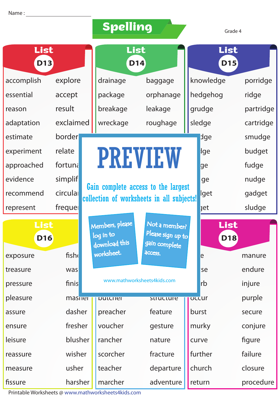|                    |           | <b>Spelling</b>            |                                                                                  | Grade 4            |            |  |  |
|--------------------|-----------|----------------------------|----------------------------------------------------------------------------------|--------------------|------------|--|--|
| List<br><b>D13</b> |           | List<br><b>D14</b>         |                                                                                  | List<br><b>D15</b> |            |  |  |
| accomplish         | explore   | drainage                   | baggage                                                                          | knowledge          | porridge   |  |  |
| essential          | accept    | package                    | orphanage                                                                        | hedgehog           | ridge      |  |  |
| reason             | result    | breakage                   | leakage                                                                          | grudge             | partridge  |  |  |
| adaptation         | exclaimed | wreckage                   | roughage                                                                         | sledge             | cartridge  |  |  |
| estimate           | border    |                            |                                                                                  | dge                | smudge     |  |  |
| experiment         | relate    |                            |                                                                                  | lge                | budget     |  |  |
| approached         | fortuna   |                            | <b>PREVIEW</b>                                                                   | ge                 | fudge      |  |  |
| evidence           | simplif   |                            |                                                                                  | ge                 | nudge      |  |  |
| recommend          | circula   |                            | Gain complete access to the largest<br>collection of worksheets in all subjects! | lget               | gadget     |  |  |
| represent          | freque    |                            |                                                                                  | <b>jet</b>         | sludge     |  |  |
| List               |           | Members, please            | Not a member?                                                                    |                    | List       |  |  |
| <b>D16</b>         |           | log in to<br>download this | Please sign up to<br>gain complete                                               |                    | <b>D18</b> |  |  |
| exposure           | fish      | worksheet.                 | access.                                                                          | le                 | manure     |  |  |
| treasure           | was       |                            |                                                                                  | se                 | endure     |  |  |
| pressure           | finis     |                            | www.mathworksheets4kids.com                                                      | <b>rb</b>          | injure     |  |  |
| pleasure           | masner    | DULCHEI                    | structure                                                                        | <b>OCCUr</b>       | purple     |  |  |
| assure             | dasher    | preacher                   | feature                                                                          | burst              | secure     |  |  |
| ensure             | fresher   | voucher                    | gesture                                                                          | murky              | conjure    |  |  |
| leisure            | blusher   | rancher                    | nature                                                                           | curve              | figure     |  |  |
| reassure           | wisher    | scorcher                   | fracture                                                                         | further            | failure    |  |  |
| measure            | usher     | teacher                    | departure                                                                        | church             | closure    |  |  |

harsher

marcher

adventure | return

procedure

fissure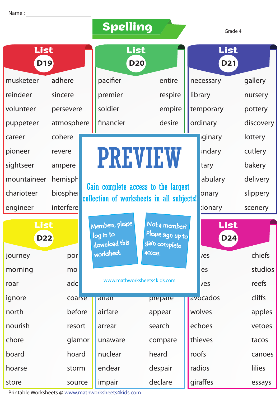|                    |            | <b>Spelling</b>                               |                                                     |         | Grade 4            |               |  |  |
|--------------------|------------|-----------------------------------------------|-----------------------------------------------------|---------|--------------------|---------------|--|--|
| List<br><b>D19</b> |            | List<br><b>D20</b>                            |                                                     |         | List<br><b>D21</b> |               |  |  |
| musketeer          | adhere     | pacifier                                      | entire                                              |         | necessary          | gallery       |  |  |
| reindeer           | sincere    | premier                                       | respire                                             |         | library            | nursery       |  |  |
| volunteer          | persevere  | soldier                                       | empire                                              |         | temporary          | pottery       |  |  |
| puppeteer          | atmosphere | desire<br>financier                           |                                                     |         | ordinary           | discovery     |  |  |
| career             | cohere     |                                               |                                                     |         | iginary            | lottery       |  |  |
| pioneer            | revere     |                                               |                                                     |         | undary             | cutlery       |  |  |
| sightseer          | ampere     |                                               | <b>PREVIEW</b>                                      |         |                    | bakery        |  |  |
| mountaineer        | hemisph    |                                               |                                                     |         | abulary            | delivery      |  |  |
| charioteer         | biospher   |                                               | Gain complete access to the largest                 |         | onary              | slippery      |  |  |
| engineer           | interfere  | collection of worksheets in all subjects!     |                                                     |         |                    | scenery       |  |  |
| List<br><b>D22</b> |            | Members, please<br>log in to<br>download this | Not a member?<br>Please sign up to<br>gain complete |         | List<br><b>D24</b> |               |  |  |
| journey            | por        | worksheet.                                    | access.                                             |         | ves                | chiefs        |  |  |
| morning            | mol        |                                               |                                                     |         | es                 | studios       |  |  |
| roar               | ado        |                                               | www.mathworksheets4kids.com                         |         | ves                | reefs         |  |  |
| ignore             | coarse     | dildil                                        | prepare                                             |         | avocados           | cliffs        |  |  |
| north              | before     | airfare                                       | appear                                              |         | wolves             | apples        |  |  |
| nourish            | resort     | arrear                                        | search                                              | echoes  |                    | vetoes        |  |  |
| chore              | glamor     | unaware                                       | compare                                             | thieves |                    | tacos         |  |  |
| board              | hoard      | nuclear                                       | heard                                               | roofs   |                    | canoes        |  |  |
| hoarse             | storm      | endear                                        | despair                                             | radios  |                    | <b>lilies</b> |  |  |
| store<br>source    |            | impair                                        | declare                                             |         | giraffes           | essays        |  |  |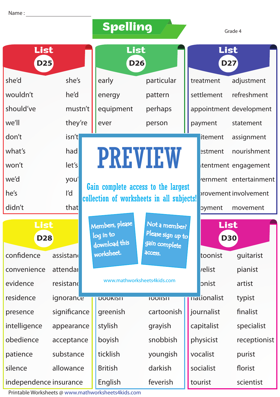| Spelling |  |
|----------|--|
|----------|--|

Grade 4

| List<br><b>D25</b> |              | List<br><b>D26</b>           |                                                                                  |         | List<br><b>D27</b> |                         |  |  |
|--------------------|--------------|------------------------------|----------------------------------------------------------------------------------|---------|--------------------|-------------------------|--|--|
| she'd              | she's        | early                        | particular                                                                       |         | treatment          | adjustment              |  |  |
| wouldn't           | he'd         | energy                       | pattern                                                                          |         | settlement         | refreshment             |  |  |
| should've          | mustn't      | equipment                    | perhaps                                                                          |         |                    | appointment development |  |  |
| we'll              | they're      | ever<br>person               |                                                                                  | payment | statement          |                         |  |  |
| don't              | isn't        |                              |                                                                                  |         | itement            | assignment              |  |  |
| what's             | had          | <b>PREVIEW</b>               |                                                                                  |         | estment            | nourishment             |  |  |
| won't              | let's        |                              |                                                                                  |         |                    | itentment engagement    |  |  |
| we'd               | you'         |                              |                                                                                  |         |                    | rernment entertainment  |  |  |
| he's               | ľd           |                              | Gain complete access to the largest<br>collection of worksheets in all subjects! |         |                    | provement involvement   |  |  |
| that<br>didn't     |              |                              |                                                                                  |         | pyment             | movement                |  |  |
| List<br><b>D28</b> |              |                              |                                                                                  |         |                    |                         |  |  |
|                    |              | Members, please<br>log in to | Not a member?<br>Please sign up to                                               |         |                    | List<br><b>D30</b>      |  |  |
| confidence         | assistand    | download this<br>worksheet.  | gain complete<br>access.                                                         |         | toonist            | guitarist               |  |  |
| convenience        | attendar     |                              |                                                                                  |         | <i>relist</i>      | pianist                 |  |  |
| evidence           | resistand    |                              | www.mathworksheets4kids.com                                                      |         | pnist              | artist                  |  |  |
| residence          | ignorance    | <b>DOOKISH</b>               | <b>TOOIISH</b>                                                                   |         | nationalist        | typist                  |  |  |
| presence           | significance | greenish                     | cartoonish                                                                       |         | journalist         | finalist                |  |  |
| intelligence       | appearance   | stylish                      | grayish                                                                          |         | capitalist         | specialist              |  |  |
| obedience          | acceptance   | boyish                       | snobbish                                                                         |         | physicist          | receptionist            |  |  |
| patience           | substance    | ticklish                     | youngish                                                                         |         | vocalist           | purist                  |  |  |
| silence            | allowance    | <b>British</b>               | darkish                                                                          |         | socialist          | florist                 |  |  |

Printable Worksheets @ www.mathworksheets4kids.com